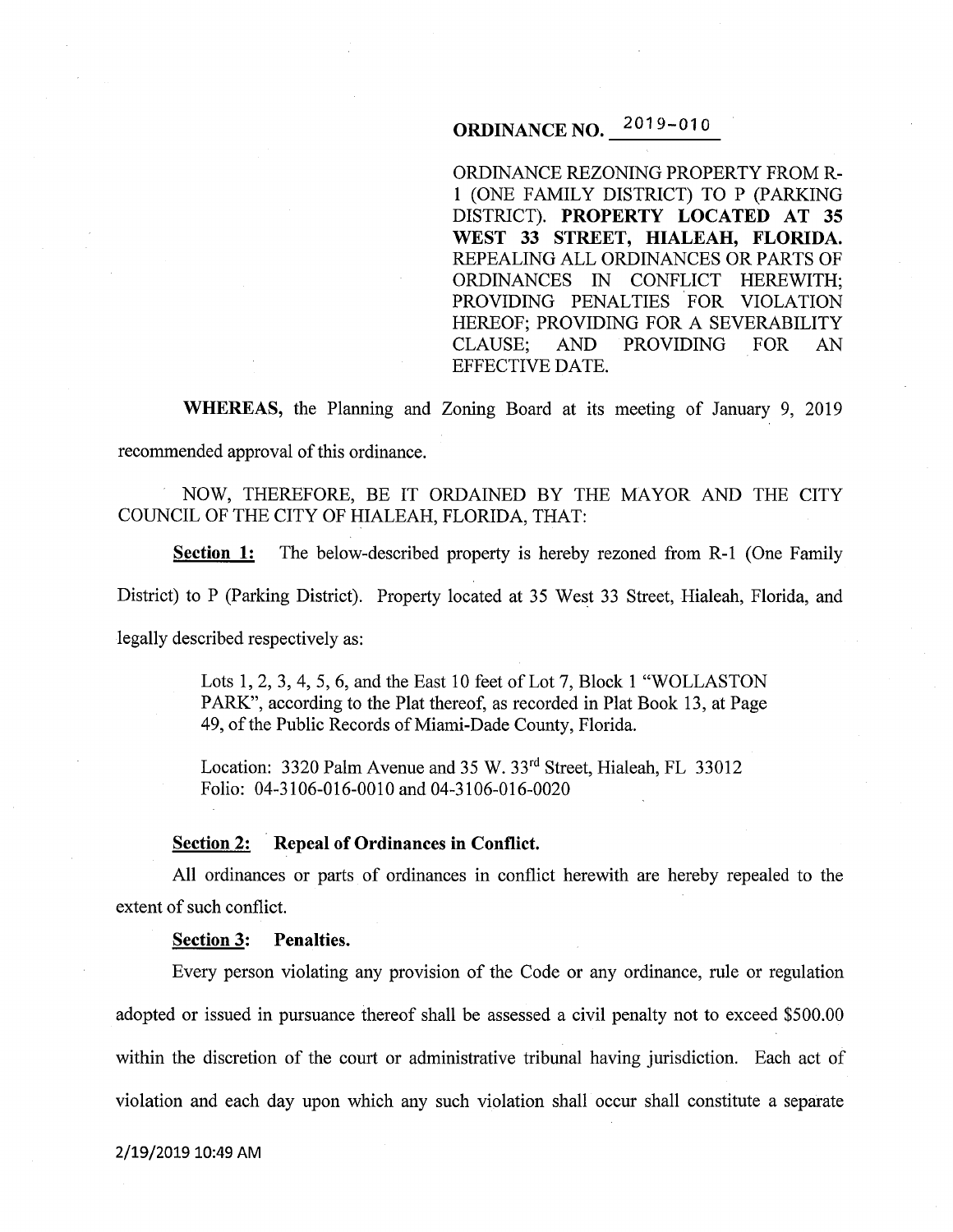# **ORDINANCE NO. 2019-010**

ORDINANCE REZONING PROPERTY FROM R-**1** (ONE FAMILY DISTRICT) TO P (PARKING DISTRICT). **PROPERTY LOCATED AT 35 WEST 33 STREET, HIALEAH, FLORIDA.**  REPEALING ALL ORDINANCES OR PARTS OF ORDINANCES IN CONFLICT HEREWITH; PROVIDING PENALTIES FOR VIOLATION HEREOF; PROVIDING FOR A SEVERABILITY CLAUSE; AND PROVIDING FOR AN EFFECTIVE DATE.

**WHEREAS,** the Planning and Zoning Board at its meeting of January 9, 2019 recommended approval of this ordinance.

NOW, THEREFORE, BE IT ORDAINED BY THE MAYOR AND THE CITY COUNCIL OF THE CITY OF HIALEAH, FLORIDA, THAT:

**Section 1:** The below-described property is hereby rezoned from R-1 (One Family

District) to P (Parking District). Property located at 35 West 33 Street, Hialeah, Florida, and

legally described respectively as:

Lots 1, 2, 3, 4, 5, 6, and the East 10 feet of Lot 7, Block 1 "WOLLASTON PARK", according to the Plat thereof, as recorded in Plat Book 13, at Page 49, of the Public Records of Miami-Dade County, Florida.

Location: 3320 Palm Avenue and 35 W. 33<sup>rd</sup> Street, Hialeah, FL 33012 Folio: 04-3106-016-0010 and 04-3106-016-0020

### **Section 2: Repeal of Ordinances in Conflict.**

All ordinances or parts of ordinances in conflict herewith are hereby repealed to the extent of such conflict.

#### **Section 3: Penalties.**

Every person violating any provision of the Code or any ordinance, rule or regulation adopted or issued in pursuance thereof shall be assessed a civil penalty not to exceed \$500.00 within the discretion of the court or administrative tribunal having jurisdiction. Each act of violation and each day upon which any such violation shall occur shall constitute a separate